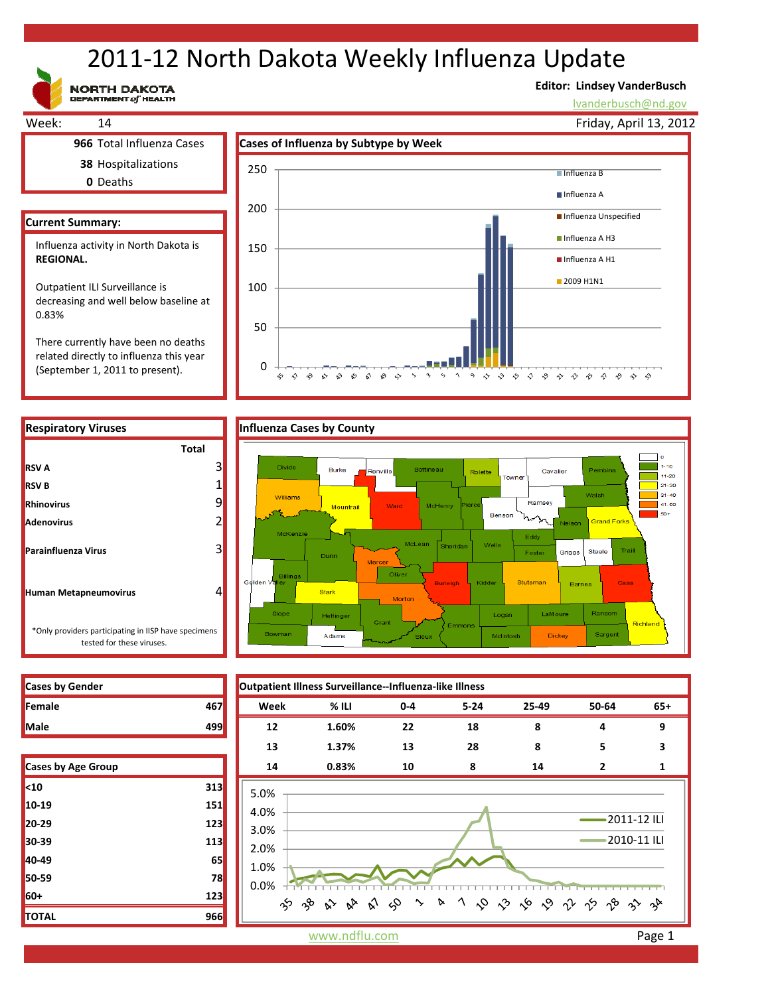# 2011‐12 North Dakota Weekly Influenza Update

**NORTH DAKOTA**<br>DEPARTMENT of HEALTH

### **Editor: Lindsey VanderBusch**

5 1 9 0 0 0 1 0 0 0 0 0 0 0 0 0 0

lvanderbusch@nd.gov



0

 $\hat{\mathbf{v}}$ 

 $\sim$  $\approx$   $\approx$ ళ √ ଚ୍ଚ  $\rightsquigarrow$ 

☆

50

Outpatient ILI Surveillance is decreasing and well below baseline at 0.83%

There currently have been no deaths related directly to influenza this year (September 1, 2011 to present).

**RSV B Rhinovirus Adenovirus**

**RSV A**

**Parainfluenza Virus**



 $\ddot{\ }$  $\gamma$ 

| <b>Cases by Gender</b> |     |
|------------------------|-----|
| <b>Female</b>          | 467 |
| <b>Male</b>            |     |

| Cases by Age Group |     |
|--------------------|-----|
| $10$               | 313 |
| $10-19$            | 151 |
| $20 - 29$          | 123 |
| 30-39              | 113 |
| 40-49              | 65  |
| 50-59              | 78  |
| 60+                | 123 |
| <b>TOTAL</b>       | 966 |

**Cases by Gender Outpatient Illness Surveillance‐‐Influenza‐like Illness Female 467 Week % ILI 0‐4 5‐24 25‐49 50‐64 65+ Male 499 12 1.60% 22 18 8 4 9 13 1.37% 13 28 8 5 3 Cases by Age Group 14 0.83% 10 8 14 2 1** 5.0% 4.0% 2011‐12 ILI 3.0% 2010‐11 ILI 2.0% 1.0% 0.0% 1 0 0 6 0 1 1 9 8 3 4  $\hat{\gamma}$   $\hat{\gamma}$   $\hat{\gamma}$   $\hat{\gamma}$  $\frac{1}{2}$   $\frac{1}{2}$  $\sim$  $\, \, \triangleright$ 

www.ndflu.com **Page 1**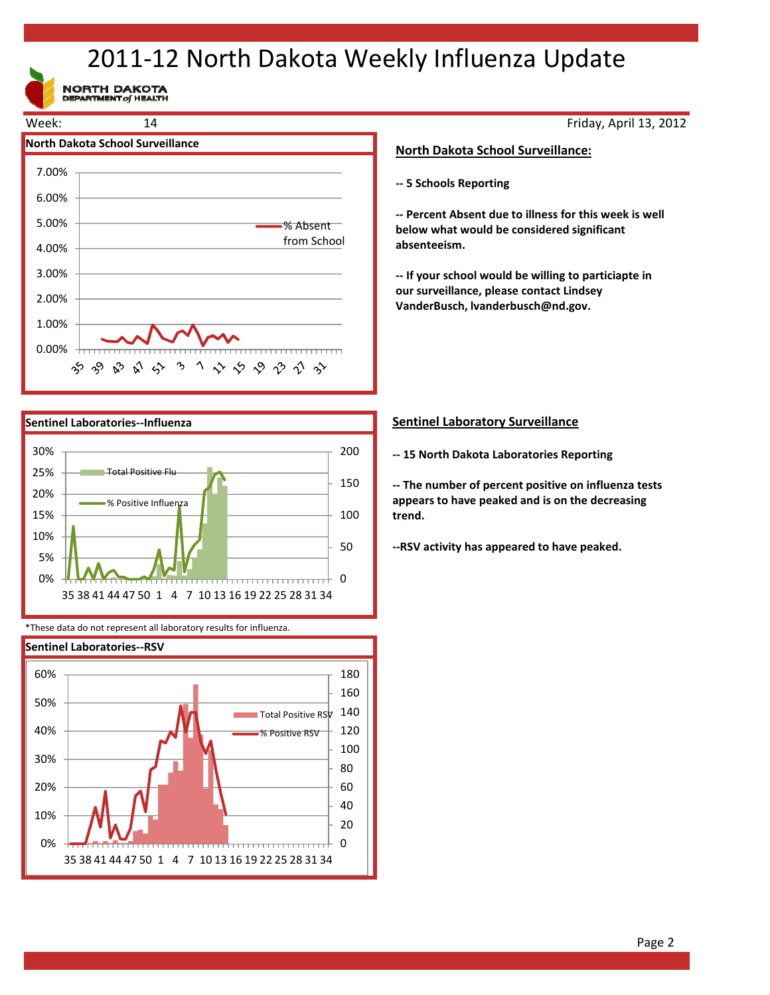# 2011‐12 North Dakota Weekly Influenza Update

NORTH DAKOTA





\*These data do not represent all laboratory results for influenza.



### Friday, April 13, 2012

### **North Dakota School Surveillance:**

**‐‐ 5 Schools Reporting**

**‐‐ Percent Absent due to illness for this week is well below what would be considered significant absenteeism.**

**‐‐ If your school would be willing to particiapte in our surveillance, please contact Lindsey VanderBusch, lvanderbusch@nd.gov.**

### **Sentinel Laboratory Surveillance**

**‐‐ 15 North Dakota Laboratories Reporting**

**‐‐ The number of percent positive on influenza tests appears to have peaked and is on the decreasing trend.**

**‐‐RSV activity has appeared to have peaked.**